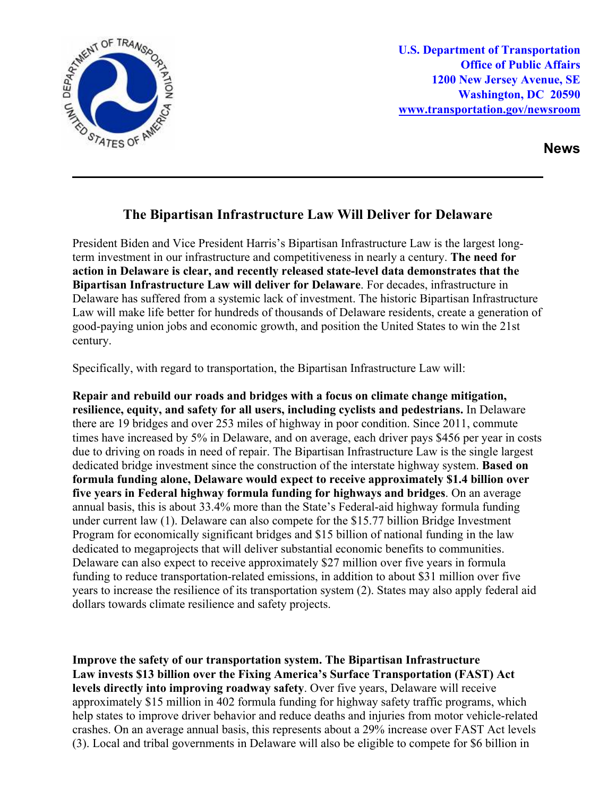

**U.S. Department of Transportation Office of Public Affairs 1200 New Jersey Avenue, SE Washington, DC 20590 [www.transportation.gov/newsroom](http://www.transportation.gov/newsroom)** 

**News**

## **The Bipartisan Infrastructure Law Will Deliver for Delaware**

President Biden and Vice President Harris's Bipartisan Infrastructure Law is the largest longterm investment in our infrastructure and competitiveness in nearly a century. **The need for action in Delaware is clear, and recently released state-level data demonstrates that the Bipartisan Infrastructure Law will deliver for Delaware**. For decades, infrastructure in Delaware has suffered from a systemic lack of investment. The historic Bipartisan Infrastructure Law will make life better for hundreds of thousands of Delaware residents, create a generation of good-paying union jobs and economic growth, and position the United States to win the 21st century.

Specifically, with regard to transportation, the Bipartisan Infrastructure Law will:

**Repair and rebuild our roads and bridges with a focus on climate change mitigation, resilience, equity, and safety for all users, including cyclists and pedestrians.** In Delaware there are 19 bridges and over 253 miles of highway in poor condition. Since 2011, commute times have increased by 5% in Delaware, and on average, each driver pays \$456 per year in costs due to driving on roads in need of repair. The Bipartisan Infrastructure Law is the single largest dedicated bridge investment since the construction of the interstate highway system. **Based on formula funding alone, Delaware would expect to receive approximately \$1.4 billion over five years in Federal highway formula funding for highways and bridges**. On an average annual basis, this is about 33.4% more than the State's Federal-aid highway formula funding under current law (1). Delaware can also compete for the \$15.77 billion Bridge Investment Program for economically significant bridges and \$15 billion of national funding in the law dedicated to megaprojects that will deliver substantial economic benefits to communities. Delaware can also expect to receive approximately \$27 million over five years in formula funding to reduce transportation-related emissions, in addition to about \$31 million over five years to increase the resilience of its transportation system (2). States may also apply federal aid dollars towards climate resilience and safety projects.

**Improve the safety of our transportation system. The Bipartisan Infrastructure Law invests \$13 billion over the Fixing America's Surface Transportation (FAST) Act levels directly into improving roadway safety**. Over five years, Delaware will receive approximately \$15 million in 402 formula funding for highway safety traffic programs, which help states to improve driver behavior and reduce deaths and injuries from motor vehicle-related crashes. On an average annual basis, this represents about a 29% increase over FAST Act levels (3). Local and tribal governments in Delaware will also be eligible to compete for \$6 billion in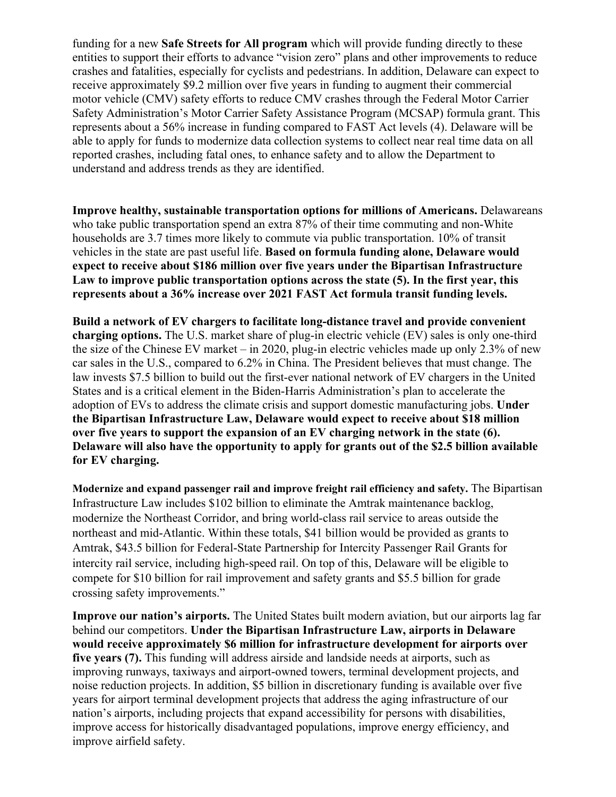funding for a new **Safe Streets for All program** which will provide funding directly to these entities to support their efforts to advance "vision zero" plans and other improvements to reduce crashes and fatalities, especially for cyclists and pedestrians. In addition, Delaware can expect to receive approximately \$9.2 million over five years in funding to augment their commercial motor vehicle (CMV) safety efforts to reduce CMV crashes through the Federal Motor Carrier Safety Administration's Motor Carrier Safety Assistance Program (MCSAP) formula grant. This represents about a 56% increase in funding compared to FAST Act levels (4). Delaware will be able to apply for funds to modernize data collection systems to collect near real time data on all reported crashes, including fatal ones, to enhance safety and to allow the Department to understand and address trends as they are identified.

**Improve healthy, sustainable transportation options for millions of Americans.** Delawareans who take public transportation spend an extra 87% of their time commuting and non-White households are 3.7 times more likely to commute via public transportation. 10% of transit vehicles in the state are past useful life. **Based on formula funding alone, Delaware would expect to receive about \$186 million over five years under the Bipartisan Infrastructure Law to improve public transportation options across the state (5). In the first year, this represents about a 36% increase over 2021 FAST Act formula transit funding levels.**

**Build a network of EV chargers to facilitate long-distance travel and provide convenient charging options.** The U.S. market share of plug-in electric vehicle (EV) sales is only one-third the size of the Chinese EV market – in 2020, plug-in electric vehicles made up only 2.3% of new car sales in the U.S., compared to 6.2% in China. The President believes that must change. The law invests \$7.5 billion to build out the first-ever national network of EV chargers in the United States and is a critical element in the Biden-Harris Administration's plan to accelerate the adoption of EVs to address the climate crisis and support domestic manufacturing jobs. **Under the Bipartisan Infrastructure Law, Delaware would expect to receive about \$18 million over five years to support the expansion of an EV charging network in the state (6). Delaware will also have the opportunity to apply for grants out of the \$2.5 billion available for EV charging.** 

**Modernize and expand passenger rail and improve freight rail efficiency and safety.** The Bipartisan Infrastructure Law includes \$102 billion to eliminate the Amtrak maintenance backlog, modernize the Northeast Corridor, and bring world-class rail service to areas outside the northeast and mid-Atlantic. Within these totals, \$41 billion would be provided as grants to Amtrak, \$43.5 billion for Federal-State Partnership for Intercity Passenger Rail Grants for intercity rail service, including high-speed rail. On top of this, Delaware will be eligible to compete for \$10 billion for rail improvement and safety grants and \$5.5 billion for grade crossing safety improvements."

**Improve our nation's airports.** The United States built modern aviation, but our airports lag far behind our competitors. **Under the Bipartisan Infrastructure Law, airports in Delaware would receive approximately \$6 million for infrastructure development for airports over five years (7).** This funding will address airside and landside needs at airports, such as improving runways, taxiways and airport-owned towers, terminal development projects, and noise reduction projects. In addition, \$5 billion in discretionary funding is available over five years for airport terminal development projects that address the aging infrastructure of our nation's airports, including projects that expand accessibility for persons with disabilities, improve access for historically disadvantaged populations, improve energy efficiency, and improve airfield safety.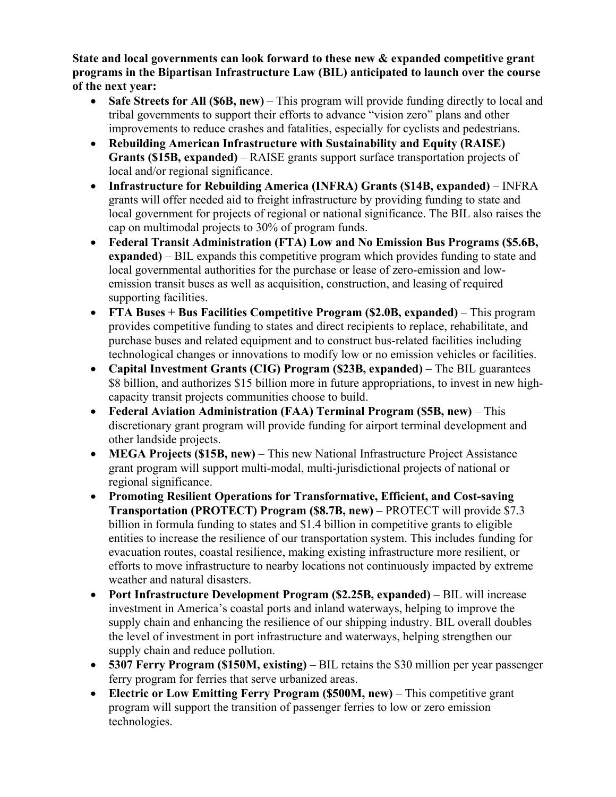**State and local governments can look forward to these new & expanded competitive grant programs in the Bipartisan Infrastructure Law (BIL) anticipated to launch over the course of the next year:** 

- **Safe Streets for All (\$6B, new)** This program will provide funding directly to local and tribal governments to support their efforts to advance "vision zero" plans and other improvements to reduce crashes and fatalities, especially for cyclists and pedestrians.
- **Rebuilding American Infrastructure with Sustainability and Equity (RAISE) Grants (\$15B, expanded)** – RAISE grants support surface transportation projects of local and/or regional significance.
- **Infrastructure for Rebuilding America (INFRA) Grants (\$14B, expanded)**  INFRA grants will offer needed aid to freight infrastructure by providing funding to state and local government for projects of regional or national significance. The BIL also raises the cap on multimodal projects to 30% of program funds.
- **Federal Transit Administration (FTA) Low and No Emission Bus Programs (\$5.6B, expanded)** – BIL expands this competitive program which provides funding to state and local governmental authorities for the purchase or lease of zero-emission and lowemission transit buses as well as acquisition, construction, and leasing of required supporting facilities.
- **FTA Buses + Bus Facilities Competitive Program (\$2.0B, expanded)** This program provides competitive funding to states and direct recipients to replace, rehabilitate, and purchase buses and related equipment and to construct bus-related facilities including technological changes or innovations to modify low or no emission vehicles or facilities.
- **Capital Investment Grants (CIG) Program (\$23B, expanded)** The BIL guarantees \$8 billion, and authorizes \$15 billion more in future appropriations, to invest in new highcapacity transit projects communities choose to build.
- **Federal Aviation Administration (FAA) Terminal Program (\$5B, new)** This discretionary grant program will provide funding for airport terminal development and other landside projects.
- **MEGA Projects (\$15B, new)** This new National Infrastructure Project Assistance grant program will support multi-modal, multi-jurisdictional projects of national or regional significance.
- **Promoting Resilient Operations for Transformative, Efficient, and Cost-saving Transportation (PROTECT) Program (\$8.7B, new)** – PROTECT will provide \$7.3 billion in formula funding to states and \$1.4 billion in competitive grants to eligible entities to increase the resilience of our transportation system. This includes funding for evacuation routes, coastal resilience, making existing infrastructure more resilient, or efforts to move infrastructure to nearby locations not continuously impacted by extreme weather and natural disasters.
- **Port Infrastructure Development Program (\$2.25B, expanded)** BIL will increase investment in America's coastal ports and inland waterways, helping to improve the supply chain and enhancing the resilience of our shipping industry. BIL overall doubles the level of investment in port infrastructure and waterways, helping strengthen our supply chain and reduce pollution.
- **5307 Ferry Program (\$150M, existing)** BIL retains the \$30 million per year passenger ferry program for ferries that serve urbanized areas.
- **Electric or Low Emitting Ferry Program (\$500M, new)** This competitive grant program will support the transition of passenger ferries to low or zero emission technologies.